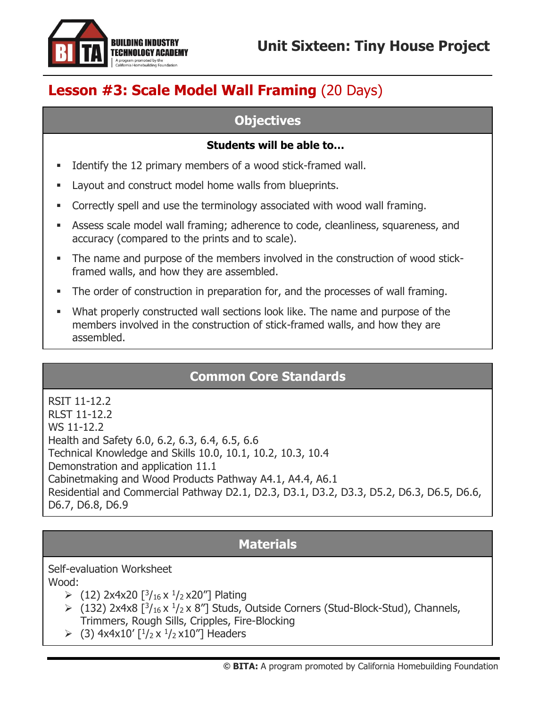

# **Lesson #3: Scale Model Wall Framing** (20 Days)

### **Objectives**

#### **Students will be able to…**

- Identify the 12 primary members of a wood stick-framed wall.
- Layout and construct model home walls from blueprints.
- Correctly spell and use the terminology associated with wood wall framing.
- **EXEL Assess scale model wall framing; adherence to code, cleanliness, squareness, and** accuracy (compared to the prints and to scale).
- The name and purpose of the members involved in the construction of wood stickframed walls, and how they are assembled.
- **•** The order of construction in preparation for, and the processes of wall framing.
- **■** What properly constructed wall sections look like. The name and purpose of the members involved in the construction of stick-framed walls, and how they are assembled.

## **Common Core Standards**

RSIT 11-12.2 RLST 11-12.2 WS 11-12.2 Health and Safety 6.0, 6.2, 6.3, 6.4, 6.5, 6.6 Technical Knowledge and Skills 10.0, 10.1, 10.2, 10.3, 10.4 Demonstration and application 11.1 Cabinetmaking and Wood Products Pathway A4.1, A4.4, A6.1 Residential and Commercial Pathway D2.1, D2.3, D3.1, D3.2, D3.3, D5.2, D6.3, D6.5, D6.6, D6.7, D6.8, D6.9

## **Materials**

Self-evaluation Worksheet Wood:

- $\geq (12)$  2x4x20  $\left[\frac{3}{16}x\frac{1}{2}x20\right]$  Plating
- $\geq$  (132) 2x4x8 [ $\frac{3}{16}$  x  $\frac{1}{2}$  x 8"] Studs, Outside Corners (Stud-Block-Stud), Channels, Trimmers, Rough Sills, Cripples, Fire-Blocking
- $\geq$  (3) 4x4x10' [ $\frac{1}{2}$ x  $\frac{1}{2}$ x10"] Headers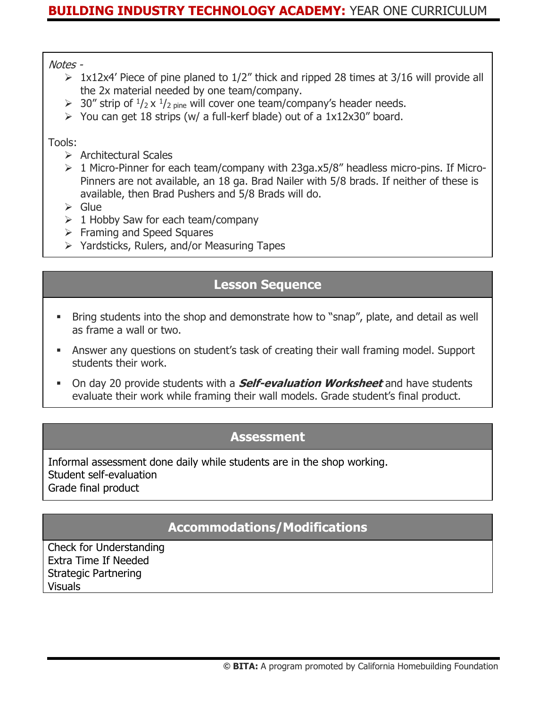#### Notes -

- $\geq 1x12x4'$  Piece of pine planed to 1/2" thick and ripped 28 times at 3/16 will provide all the 2x material needed by one team/company.
- $\geq 30''$  strip of  $\frac{1}{2}$  x  $\frac{1}{2}$  pine will cover one team/company's header needs.
- $\triangleright$  You can get 18 strips (w/ a full-kerf blade) out of a 1x12x30" board.

#### Tools:

- ➢ Architectural Scales
- ➢ 1 Micro-Pinner for each team/company with 23ga.x5/8" headless micro-pins. If Micro-Pinners are not available, an 18 ga. Brad Nailer with 5/8 brads. If neither of these is available, then Brad Pushers and 5/8 Brads will do.
- ➢ Glue
- $\geq 1$  Hobby Saw for each team/company
- ➢ Framing and Speed Squares
- ➢ Yardsticks, Rulers, and/or Measuring Tapes

### **Lesson Sequence**

- Bring students into the shop and demonstrate how to "snap", plate, and detail as well as frame a wall or two.
- **EXED Answer any questions on student's task of creating their wall framing model. Support** students their work.
- On day 20 provide students with a **Self-evaluation Worksheet** and have students evaluate their work while framing their wall models. Grade student's final product.

### **Assessment**

Informal assessment done daily while students are in the shop working. Student self-evaluation Grade final product

### **Accommodations/Modifications**

Check for Understanding Extra Time If Needed Strategic Partnering Visuals